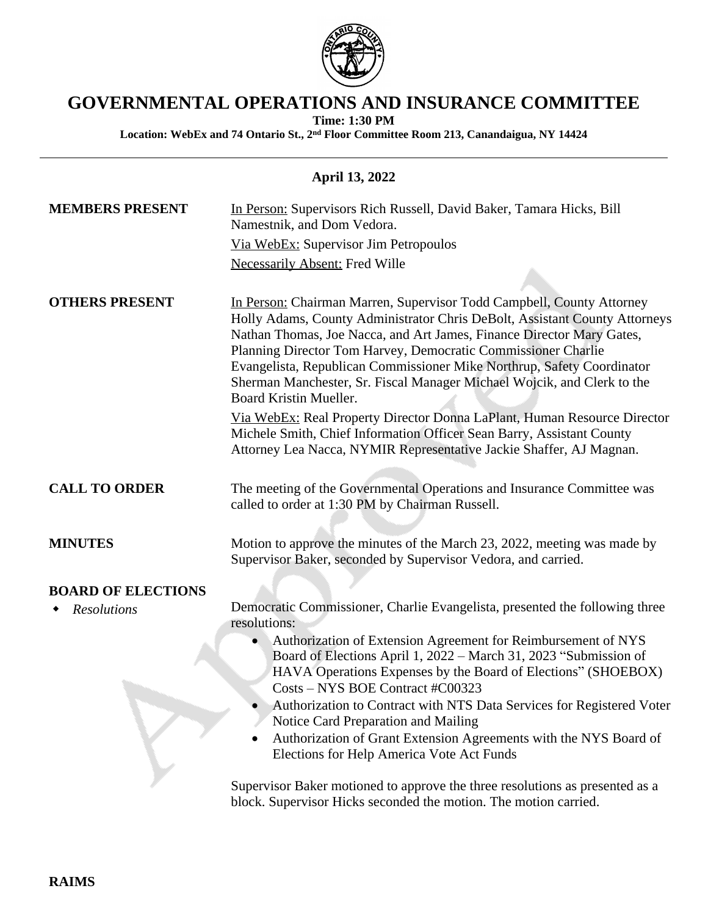

## **GOVERNMENTAL OPERATIONS AND INSURANCE COMMITTEE**

**Time: 1:30 PM**

**Location: WebEx and 74 Ontario St., 2nd Floor Committee Room 213, Canandaigua, NY 14424**

## **April 13, 2022**

| <b>MEMBERS PRESENT</b>    | In Person: Supervisors Rich Russell, David Baker, Tamara Hicks, Bill<br>Namestnik, and Dom Vedora.                                                                                                                                                                                                                                                                                                                                                                           |
|---------------------------|------------------------------------------------------------------------------------------------------------------------------------------------------------------------------------------------------------------------------------------------------------------------------------------------------------------------------------------------------------------------------------------------------------------------------------------------------------------------------|
|                           | Via WebEx: Supervisor Jim Petropoulos                                                                                                                                                                                                                                                                                                                                                                                                                                        |
|                           | <b>Necessarily Absent: Fred Wille</b>                                                                                                                                                                                                                                                                                                                                                                                                                                        |
|                           |                                                                                                                                                                                                                                                                                                                                                                                                                                                                              |
| <b>OTHERS PRESENT</b>     | In Person: Chairman Marren, Supervisor Todd Campbell, County Attorney<br>Holly Adams, County Administrator Chris DeBolt, Assistant County Attorneys<br>Nathan Thomas, Joe Nacca, and Art James, Finance Director Mary Gates,<br>Planning Director Tom Harvey, Democratic Commissioner Charlie<br>Evangelista, Republican Commissioner Mike Northrup, Safety Coordinator<br>Sherman Manchester, Sr. Fiscal Manager Michael Wojcik, and Clerk to the<br>Board Kristin Mueller. |
|                           | Via WebEx: Real Property Director Donna LaPlant, Human Resource Director<br>Michele Smith, Chief Information Officer Sean Barry, Assistant County<br>Attorney Lea Nacca, NYMIR Representative Jackie Shaffer, AJ Magnan.                                                                                                                                                                                                                                                     |
| <b>CALL TO ORDER</b>      | The meeting of the Governmental Operations and Insurance Committee was<br>called to order at 1:30 PM by Chairman Russell.                                                                                                                                                                                                                                                                                                                                                    |
| <b>MINUTES</b>            | Motion to approve the minutes of the March 23, 2022, meeting was made by<br>Supervisor Baker, seconded by Supervisor Vedora, and carried.                                                                                                                                                                                                                                                                                                                                    |
| <b>BOARD OF ELECTIONS</b> |                                                                                                                                                                                                                                                                                                                                                                                                                                                                              |
| <b>Resolutions</b>        | Democratic Commissioner, Charlie Evangelista, presented the following three<br>resolutions:                                                                                                                                                                                                                                                                                                                                                                                  |
|                           | Authorization of Extension Agreement for Reimbursement of NYS<br>Board of Elections April 1, 2022 – March 31, 2023 "Submission of<br>HAVA Operations Expenses by the Board of Elections" (SHOEBOX)<br>Costs - NYS BOE Contract #C00323<br>Authorization to Contract with NTS Data Services for Registered Voter<br>Notice Card Preparation and Mailing                                                                                                                       |
|                           | Authorization of Grant Extension Agreements with the NYS Board of<br>Elections for Help America Vote Act Funds                                                                                                                                                                                                                                                                                                                                                               |
|                           | Supervisor Baker motioned to approve the three resolutions as presented as a<br>block. Supervisor Hicks seconded the motion. The motion carried.                                                                                                                                                                                                                                                                                                                             |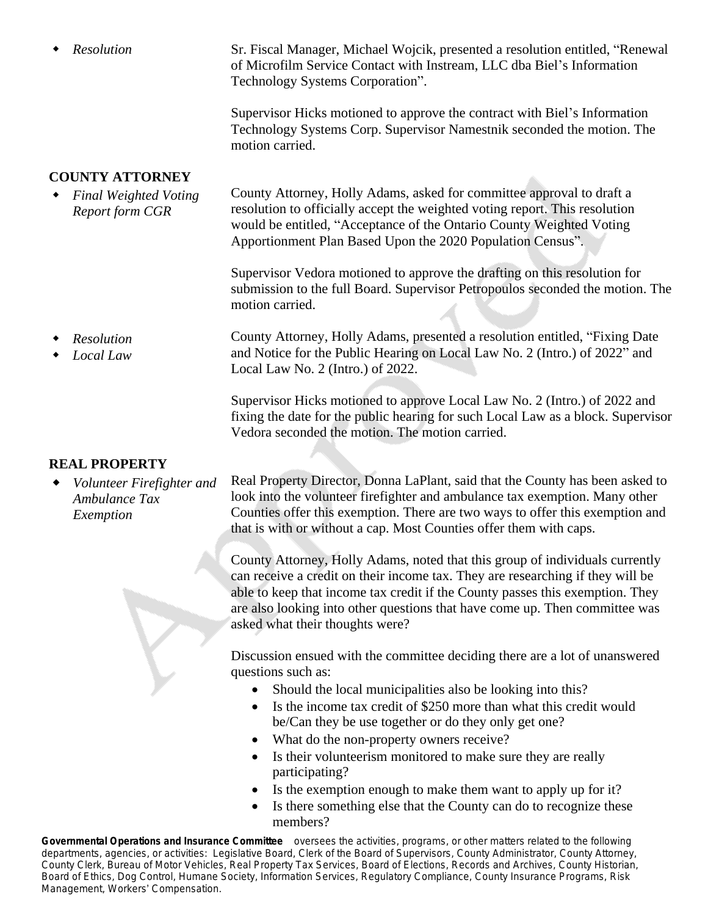*Resolution* Sr. Fiscal Manager, Michael Wojcik, presented a resolution entitled, "Renewal of Microfilm Service Contact with Instream, LLC dba Biel's Information Technology Systems Corporation".

> Supervisor Hicks motioned to approve the contract with Biel's Information Technology Systems Corp. Supervisor Namestnik seconded the motion. The motion carried.

## **COUNTY ATTORNEY**

 *Final Weighted Voting Report form CGR* County Attorney, Holly Adams, asked for committee approval to draft a resolution to officially accept the weighted voting report. This resolution would be entitled, "Acceptance of the Ontario County Weighted Voting Apportionment Plan Based Upon the 2020 Population Census".

> Supervisor Vedora motioned to approve the drafting on this resolution for submission to the full Board. Supervisor Petropoulos seconded the motion. The motion carried.

 *Resolution Local Law* County Attorney, Holly Adams, presented a resolution entitled, "Fixing Date and Notice for the Public Hearing on Local Law No. 2 (Intro.) of 2022" and Local Law No. 2 (Intro.) of 2022.

> Supervisor Hicks motioned to approve Local Law No. 2 (Intro.) of 2022 and fixing the date for the public hearing for such Local Law as a block. Supervisor Vedora seconded the motion. The motion carried.

## **REAL PROPERTY**

 *Volunteer Firefighter and Ambulance Tax Exemption*

Real Property Director, Donna LaPlant, said that the County has been asked to look into the volunteer firefighter and ambulance tax exemption. Many other Counties offer this exemption. There are two ways to offer this exemption and that is with or without a cap. Most Counties offer them with caps.

County Attorney, Holly Adams, noted that this group of individuals currently can receive a credit on their income tax. They are researching if they will be able to keep that income tax credit if the County passes this exemption. They are also looking into other questions that have come up. Then committee was asked what their thoughts were?

Discussion ensued with the committee deciding there are a lot of unanswered questions such as:

- Should the local municipalities also be looking into this?
- Is the income tax credit of \$250 more than what this credit would be/Can they be use together or do they only get one?
- What do the non-property owners receive?
- Is their volunteerism monitored to make sure they are really participating?
- Is the exemption enough to make them want to apply up for it?
- Is there something else that the County can do to recognize these members?

**Governmental Operations and Insurance Committee** oversees the activities, programs, or other matters related to the following departments, agencies, or activities: *Legislative Board, Clerk of the Board of Supervisors, County Administrator, County Attorney, County Clerk, Bureau of Motor Vehicles, Real Property Tax Services, Board of Elections, Records and Archives, County Historian, Board of Ethics, Dog Control, Humane Society, Information Services, Regulatory Compliance, County Insurance Programs, Risk Management, Workers*' *Compensation.*